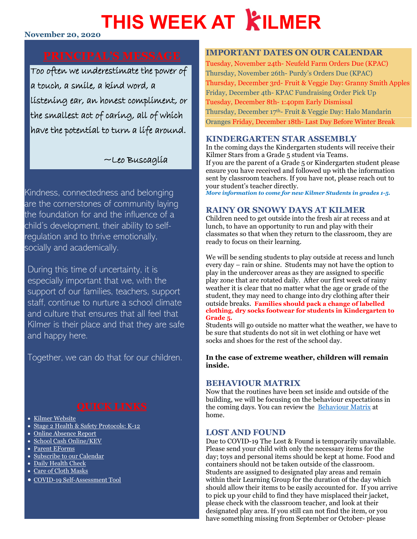# **THIS WEEK AT KILMER**

#### **November 20, 2020**

Too often we underestimate the power of a touch, a smile, a kind word, a listening ear, an honest compliment, or the smallest act of caring, all of which have the potential to turn a life around.

### ~Leo Buscaglia

Kindness, connectedness and belonging are the cornerstones of community laying the foundation for and the influence of a child's development, their ability to selfregulation and to thrive emotionally, socially and academically.

During this time of uncertainty, it is especially important that we, with the support of our families, teachers, support staff, continue to nurture a school climate and culture that ensures that all feel that Kilmer is their place and that they are safe and happy here.

Together, we can do that for our children.

- [Kilmer Website](http://www.sd43.bc.ca/school/kilmer/Pages/default.aspx#/=)
- [Stage 2 Health & Safety Protocols: K-12](https://www.sd43.bc.ca/FAQ/Documents/Health%20%20Safety%20Protocols%20for%20Schools%20Stage%202%20September%2023%202020;%20for%20Parents.pdf)
- [Online Absence Report](https://www2016.sd43.bc.ca/eforms/_layouts/15/FormServer.aspx?XsnLocation=http://www2016.sd43.bc.ca/eforms/AbsenceReportForm/Forms/template.xsn&OpenIn=browser&SaveLocation=http://www2016.sd43.bc.ca/eforms/AbsenceReportForm&Source=http://www2016.sd43.bc.ca/eforms/AbsenceReportForm)
- [School Cash Online/KEV](http://www.schoolcashonline.com/)
- [Parent EForms](http://www.sd43.bc.ca/school/kilmer/Parents/forms/Pages/default.aspx#/=)
- [Subscribe to our Calendar](http://www.sd43.bc.ca/school/kilmer/_LAYOUTS/15/scholantis/handlers/ical/event.ashx?List=0d97a795-418c-4bb3-a2e1-43959499908f&Redirect=true)
- [Daily Health Check](http://www.sd43.bc.ca/Lists/Documents/2020.09.18%20Daily%20Health%20Check%20Screen%20(English).pdf)
- [Care of Cloth Masks](https://www.sd43.bc.ca/school/kilmer/Documents/Care%20of%20cloth%20masks.pdf)
- [COVID-19 Self-Assessment Tool](https://bc.thrive.health/)

#### **IMPORTANT DATES ON OUR CALENDAR**

Tuesday, November 24th- Neufeld Farm Orders Due (KPAC) Thursday, November 26th- Purdy's Orders Due (KPAC) Thursday, December 3rd- Fruit & Veggie Day: Granny Smith Apples Friday, December 4th- KPAC Fundraising Order Pick Up Tuesday, December 8th- 1:40pm Early Dismissal Thursday, December 17th- Fruit & Veggie Day: Halo Mandarin Oranges Friday, December 18th- Last Day Before Winter Break

#### **KINDERGARTEN STAR ASSEMBLY**

In the coming days the Kindergarten students will receive their Kilmer Stars from a Grade 5 student via Teams. If you are the parent of a Grade 5 or Kindergarten student please ensure you have received and followed up with the information sent by classroom teachers. If you have not, please reach out to your student's teacher directly.

*More information to come for new Kilmer Students in grades 1-5.*

### **RAINY OR SNOWY DAYS AT KILMER**

Children need to get outside into the fresh air at recess and at lunch, to have an opportunity to run and play with their classmates so that when they return to the classroom, they are ready to focus on their learning.

We will be sending students to play outside at recess and lunch every day – rain or shine. Students may not have the option to play in the undercover areas as they are assigned to specific play zone that are rotated daily. After our first week of rainy weather it is clear that no matter what the age or grade of the student, they may need to change into dry clothing after their outside breaks. **Families should pack a change of labelled clothing, dry socks footwear for students in Kindergarten to Grade 5.** 

Students will go outside no matter what the weather, we have to be sure that students do not sit in wet clothing or have wet socks and shoes for the rest of the school day.

#### **In the case of extreme weather, children will remain inside.**

#### **BEHAVIOUR MATRIX**

Now that the routines have been set inside and outside of the building, we will be focusing on the behaviour expectations in the coming days. You can review the [Behaviour Matrix](https://www.sd43.bc.ca/school/kilmer/About/COC/Documents/MATRIX%20OF%20LANGUAGE%20of%20Behavioural%20Expectations%20-%20KILMER%20Elementary%202020-21%20%20%208.5x11.pdf?csf=1) at home.

#### **LOST AND FOUND**

Due to COVID-19 The Lost & Found is temporarily unavailable. Please send your child with only the necessary items for the day; toys and personal items should be kept at home. Food and containers should not be taken outside of the classroom. Students are assigned to designated play areas and remain within their Learning Group for the duration of the day which should allow their items to be easily accounted for. If you arrive to pick up your child to find they have misplaced their jacket, please check with the classroom teacher, and look at their designated play area. If you still can not find the item, or you have something missing from September or October- please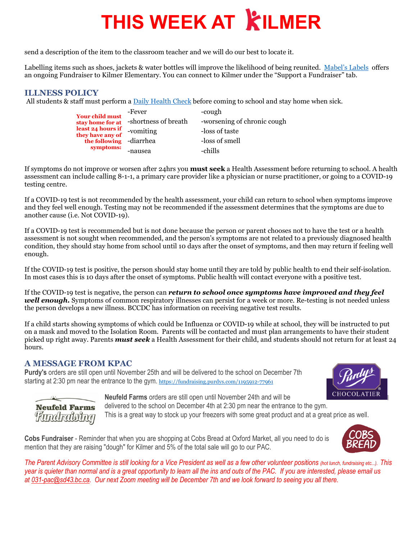## **THIS WEEK AT KILMER**

send a description of the item to the classroom teacher and we will do our best to locate it.

Labelling items such as shoes, jackets & water bottles will improve the likelihood of being reunited. [Mabel's Labels](https://mabelslabels.ca/) offers an ongoing Fundraiser to Kilmer Elementary. You can connect to Kilmer under the "Support a Fundraiser" tab.

### **ILLNESS POLICY**

All students & staff must perform [a Daily Health Check](http://www.sd43.bc.ca/Lists/Documents/2020.09.18%20Daily%20Health%20Check%20Screen%20(English).pdf) before coming to school and stay home when sick.

| <b>Your child must</b><br>stay home for at | -Fever               | -cough                      |
|--------------------------------------------|----------------------|-----------------------------|
|                                            | -shortness of breath | -worsening of chronic cough |
| least 24 hours if<br>they have any of      | -vomiting            | -loss of taste              |
| the following -diarrhea                    |                      | -loss of smell              |
| symptoms:                                  | -nausea              | -chills                     |

If symptoms do not improve or worsen after 24hrs you **must seek** a Health Assessment before returning to school. A health assessment can include calling 8-1-1, a primary care provider like a physician or nurse practitioner, or going to a COVID-19 testing centre.

If a COVID-19 test is not recommended by the health assessment, your child can return to school when symptoms improve and they feel well enough. Testing may not be recommended if the assessment determines that the symptoms are due to another cause (i.e. Not COVID-19).

If a COVID-19 test is recommended but is not done because the person or parent chooses not to have the test or a health assessment is not sought when recommended, and the person's symptoms are not related to a previously diagnosed health condition, they should stay home from school until 10 days after the onset of symptoms, and then may return if feeling well enough.

If the COVID-19 test is positive, the person should stay home until they are told by public health to end their self-isolation. In most cases this is 10 days after the onset of symptoms. Public health will contact everyone with a positive test.

If the COVID-19 test is negative, the person can *return to school once symptoms have improved and they feel well enough*. Symptoms of common respiratory illnesses can persist for a week or more. Re-testing is not needed unless the person develops a new illness. BCCDC has information on receiving negative test results.

If a child starts showing symptoms of which could be Influenza or COVID-19 while at school, they will be instructed to put on a mask and moved to the Isolation Room. Parents will be contacted and must plan arrangements to have their student picked up right away. Parents *must seek* a Health Assessment for their child, and students should not return for at least 24 hours.

#### **A MESSAGE FROM KPAC**

**Purdy's** orders are still open until November 25th and will be delivered to the school on December 7th starting at 2:30 pm near the entrance to the gym. <https://fundraising.purdys.com/1195912-77961>





**Neufeld Farms** orders are still open until November 24th and will be delivered to the school on December 4th at 2:30 pm near the entrance to the gym. This is a great way to stock up your freezers with some great product and at a great price as well.

**Cobs Fundraiser** - Reminder that when you are shopping at Cobs Bread at Oxford Market, all you need to do is mention that they are raising "dough" for Kilmer and 5% of the total sale will go to our PAC.



*The Parent Advisory Committee is still looking for a Vice President as well as a few other volunteer positions (hot lunch, fundraising etc...). This year is quieter than normal and is a great opportunity to learn all the ins and outs of the PAC. If you are interested, please email us at [031-pac@sd43.bc.ca.](mailto:031-pac@sd43.bc.ca) Our next Zoom meeting will be December 7th and we look forward to seeing you all there.*